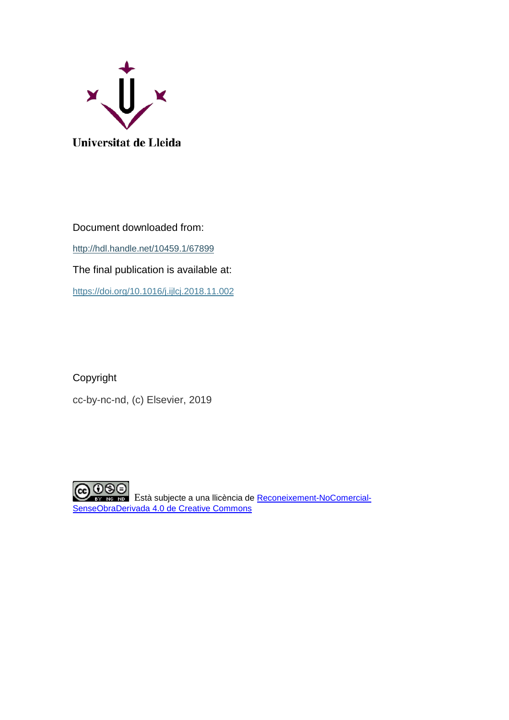

Document downloaded from: <http://hdl.handle.net/10459.1/67899> The final publication is available at: <https://doi.org/10.1016/j.ijlcj.2018.11.002>

Copyright

cc-by-nc-nd, (c) Elsevier, 2019



COOSO Està subjecte a una llicència de [Reconeixement-NoComercial-](http://creativecommons.org/licenses/by-nc-nd/4.0/)[SenseObraDerivada 4.0 de Creative Commons](http://creativecommons.org/licenses/by-nc-nd/4.0/)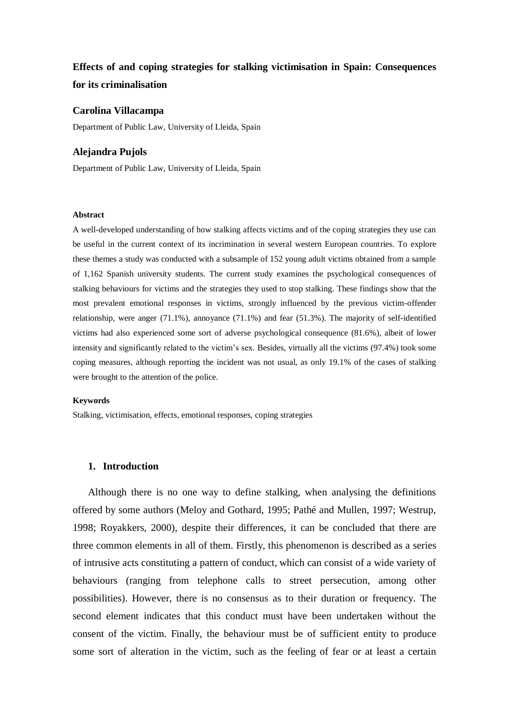# **Effects of and coping strategies for stalking victimisation in Spain: Consequences for its criminalisation**

# **Carolina Villacampa**

Department of Public Law, University of Lleida, Spain

# **Alejandra Pujols**

Department of Public Law, University of Lleida, Spain

#### **Abstract**

A well-developed understanding of how stalking affects victims and of the coping strategies they use can be useful in the current context of its incrimination in several western European countries. To explore these themes a study was conducted with a subsample of 152 young adult victims obtained from a sample of 1,162 Spanish university students. The current study examines the psychological consequences of stalking behaviours for victims and the strategies they used to stop stalking. These findings show that the most prevalent emotional responses in victims, strongly influenced by the previous victim-offender relationship, were anger (71.1%), annoyance (71.1%) and fear (51.3%). The majority of self-identified victims had also experienced some sort of adverse psychological consequence (81.6%), albeit of lower intensity and significantly related to the victim's sex. Besides, virtually all the victims (97.4%) took some coping measures, although reporting the incident was not usual, as only 19.1% of the cases of stalking were brought to the attention of the police.

#### **Keywords**

Stalking, victimisation, effects, emotional responses, coping strategies

# **1. Introduction**

Although there is no one way to define stalking, when analysing the definitions offered by some authors (Meloy and Gothard, 1995; Pathé and Mullen, 1997; Westrup, 1998; Royakkers, 2000), despite their differences, it can be concluded that there are three common elements in all of them. Firstly, this phenomenon is described as a series of intrusive acts constituting a pattern of conduct, which can consist of a wide variety of behaviours (ranging from telephone calls to street persecution, among other possibilities). However, there is no consensus as to their duration or frequency. The second element indicates that this conduct must have been undertaken without the consent of the victim. Finally, the behaviour must be of sufficient entity to produce some sort of alteration in the victim, such as the feeling of fear or at least a certain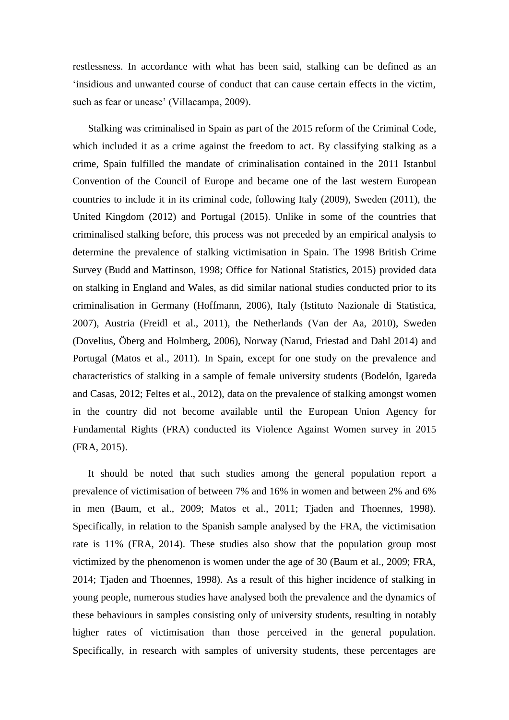restlessness. In accordance with what has been said, stalking can be defined as an 'insidious and unwanted course of conduct that can cause certain effects in the victim, such as fear or unease' (Villacampa, 2009).

Stalking was criminalised in Spain as part of the 2015 reform of the Criminal Code, which included it as a crime against the freedom to act. By classifying stalking as a crime, Spain fulfilled the mandate of criminalisation contained in the 2011 Istanbul Convention of the Council of Europe and became one of the last western European countries to include it in its criminal code, following Italy (2009), Sweden (2011), the United Kingdom (2012) and Portugal (2015). Unlike in some of the countries that criminalised stalking before, this process was not preceded by an empirical analysis to determine the prevalence of stalking victimisation in Spain. The 1998 British Crime Survey (Budd and Mattinson, 1998; Office for National Statistics, 2015) provided data on stalking in England and Wales, as did similar national studies conducted prior to its criminalisation in Germany (Hoffmann, 2006), Italy (Istituto Nazionale di Statistica, 2007), Austria (Freidl et al., 2011), the Netherlands (Van der Aa, 2010), Sweden (Dovelius, Öberg and Holmberg, 2006), Norway (Narud, Friestad and Dahl 2014) and Portugal (Matos et al., 2011). In Spain, except for one study on the prevalence and characteristics of stalking in a sample of female university students (Bodelón, Igareda and Casas, 2012; Feltes et al., 2012), data on the prevalence of stalking amongst women in the country did not become available until the European Union Agency for Fundamental Rights (FRA) conducted its Violence Against Women survey in 2015 (FRA, 2015).

It should be noted that such studies among the general population report a prevalence of victimisation of between 7% and 16% in women and between 2% and 6% in men (Baum, et al., 2009; Matos et al., 2011; Tjaden and Thoennes, 1998). Specifically, in relation to the Spanish sample analysed by the FRA, the victimisation rate is 11% (FRA, 2014). These studies also show that the population group most victimized by the phenomenon is women under the age of 30 (Baum et al., 2009; FRA, 2014; Tjaden and Thoennes, 1998). As a result of this higher incidence of stalking in young people, numerous studies have analysed both the prevalence and the dynamics of these behaviours in samples consisting only of university students, resulting in notably higher rates of victimisation than those perceived in the general population. Specifically, in research with samples of university students, these percentages are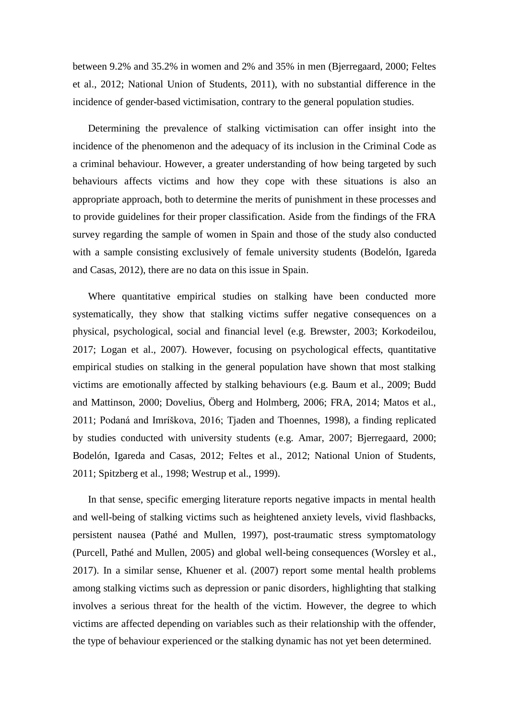between 9.2% and 35.2% in women and 2% and 35% in men (Bjerregaard, 2000; Feltes et al., 2012; National Union of Students, 2011), with no substantial difference in the incidence of gender-based victimisation, contrary to the general population studies.

Determining the prevalence of stalking victimisation can offer insight into the incidence of the phenomenon and the adequacy of its inclusion in the Criminal Code as a criminal behaviour. However, a greater understanding of how being targeted by such behaviours affects victims and how they cope with these situations is also an appropriate approach, both to determine the merits of punishment in these processes and to provide guidelines for their proper classification. Aside from the findings of the FRA survey regarding the sample of women in Spain and those of the study also conducted with a sample consisting exclusively of female university students (Bodelón, Igareda and Casas, 2012), there are no data on this issue in Spain.

Where quantitative empirical studies on stalking have been conducted more systematically, they show that stalking victims suffer negative consequences on a physical, psychological, social and financial level (e.g. Brewster, 2003; Korkodeilou, 2017; Logan et al., 2007). However, focusing on psychological effects, quantitative empirical studies on stalking in the general population have shown that most stalking victims are emotionally affected by stalking behaviours (e.g. Baum et al., 2009; Budd and Mattinson, 2000; Dovelius, Öberg and Holmberg, 2006; FRA, 2014; Matos et al., 2011; Podaná and Imríškova, 2016; Tjaden and Thoennes, 1998), a finding replicated by studies conducted with university students (e.g. Amar, 2007; Bjerregaard, 2000; Bodelón, Igareda and Casas, 2012; Feltes et al., 2012; National Union of Students, 2011; Spitzberg et al., 1998; Westrup et al., 1999).

In that sense, specific emerging literature reports negative impacts in mental health and well-being of stalking victims such as heightened anxiety levels, vivid flashbacks, persistent nausea (Pathé and Mullen, 1997), post-traumatic stress symptomatology (Purcell, Pathé and Mullen, 2005) and global well-being consequences (Worsley et al., 2017). In a similar sense, Khuener et al. (2007) report some mental health problems among stalking victims such as depression or panic disorders, highlighting that stalking involves a serious threat for the health of the victim. However, the degree to which victims are affected depending on variables such as their relationship with the offender, the type of behaviour experienced or the stalking dynamic has not yet been determined.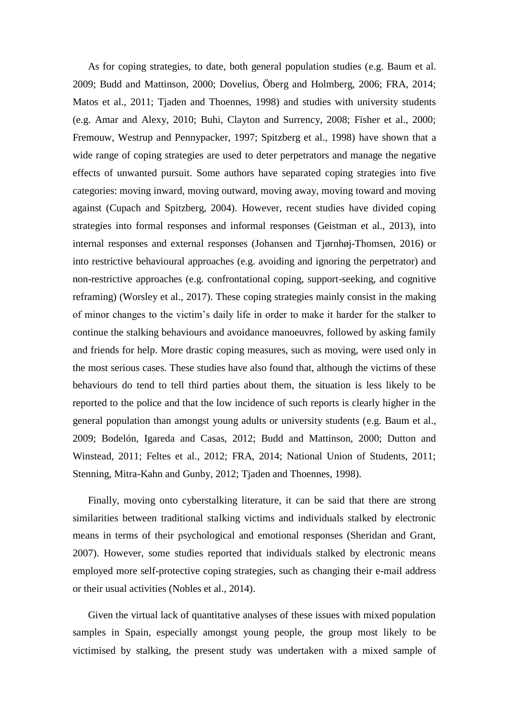As for coping strategies, to date, both general population studies (e.g. Baum et al. 2009; Budd and Mattinson, 2000; Dovelius, Öberg and Holmberg, 2006; FRA, 2014; Matos et al., 2011; Tjaden and Thoennes, 1998) and studies with university students (e.g. Amar and Alexy, 2010; Buhi, Clayton and Surrency, 2008; Fisher et al., 2000; Fremouw, Westrup and Pennypacker, 1997; Spitzberg et al., 1998) have shown that a wide range of coping strategies are used to deter perpetrators and manage the negative effects of unwanted pursuit. Some authors have separated coping strategies into five categories: moving inward, moving outward, moving away, moving toward and moving against (Cupach and Spitzberg, 2004). However, recent studies have divided coping strategies into formal responses and informal responses (Geistman et al., 2013), into internal responses and external responses (Johansen and Tjørnhøj-Thomsen, 2016) or into restrictive behavioural approaches (e.g. avoiding and ignoring the perpetrator) and non-restrictive approaches (e.g. confrontational coping, support-seeking, and cognitive reframing) (Worsley et al., 2017). These coping strategies mainly consist in the making of minor changes to the victim's daily life in order to make it harder for the stalker to continue the stalking behaviours and avoidance manoeuvres, followed by asking family and friends for help. More drastic coping measures, such as moving, were used only in the most serious cases. These studies have also found that, although the victims of these behaviours do tend to tell third parties about them, the situation is less likely to be reported to the police and that the low incidence of such reports is clearly higher in the general population than amongst young adults or university students (e.g. Baum et al., 2009; Bodelón, Igareda and Casas, 2012; Budd and Mattinson, 2000; Dutton and Winstead, 2011; Feltes et al., 2012; FRA, 2014; National Union of Students, 2011; Stenning, Mitra-Kahn and Gunby, 2012; Tjaden and Thoennes, 1998).

Finally, moving onto cyberstalking literature, it can be said that there are strong similarities between traditional stalking victims and individuals stalked by electronic means in terms of their psychological and emotional responses (Sheridan and Grant, 2007). However, some studies reported that individuals stalked by electronic means employed more self-protective coping strategies, such as changing their e-mail address or their usual activities (Nobles et al., 2014).

Given the virtual lack of quantitative analyses of these issues with mixed population samples in Spain, especially amongst young people, the group most likely to be victimised by stalking, the present study was undertaken with a mixed sample of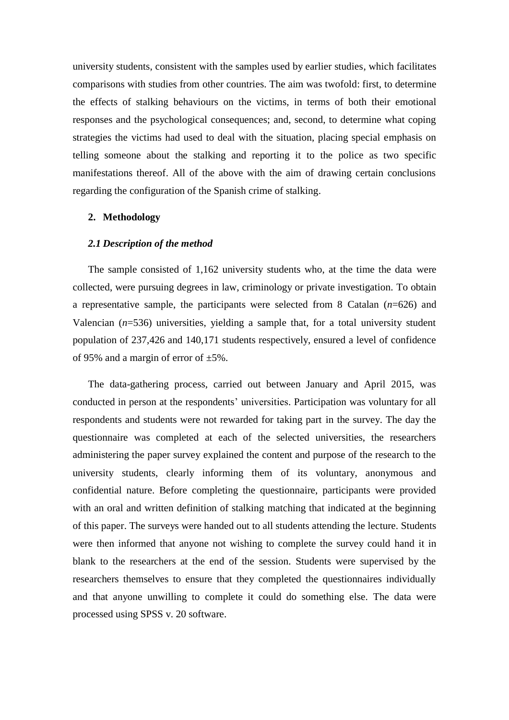university students, consistent with the samples used by earlier studies, which facilitates comparisons with studies from other countries. The aim was twofold: first, to determine the effects of stalking behaviours on the victims, in terms of both their emotional responses and the psychological consequences; and, second, to determine what coping strategies the victims had used to deal with the situation, placing special emphasis on telling someone about the stalking and reporting it to the police as two specific manifestations thereof. All of the above with the aim of drawing certain conclusions regarding the configuration of the Spanish crime of stalking.

# **2. Methodology**

# *2.1 Description of the method*

The sample consisted of 1,162 university students who, at the time the data were collected, were pursuing degrees in law, criminology or private investigation. To obtain a representative sample, the participants were selected from 8 Catalan (*n*=626) and Valencian  $(n=536)$  universities, yielding a sample that, for a total university student population of 237,426 and 140,171 students respectively, ensured a level of confidence of 95% and a margin of error of  $\pm$ 5%.

The data-gathering process, carried out between January and April 2015, was conducted in person at the respondents' universities. Participation was voluntary for all respondents and students were not rewarded for taking part in the survey. The day the questionnaire was completed at each of the selected universities, the researchers administering the paper survey explained the content and purpose of the research to the university students, clearly informing them of its voluntary, anonymous and confidential nature. Before completing the questionnaire, participants were provided with an oral and written definition of stalking matching that indicated at the beginning of this paper. The surveys were handed out to all students attending the lecture. Students were then informed that anyone not wishing to complete the survey could hand it in blank to the researchers at the end of the session. Students were supervised by the researchers themselves to ensure that they completed the questionnaires individually and that anyone unwilling to complete it could do something else. The data were processed using SPSS v. 20 software.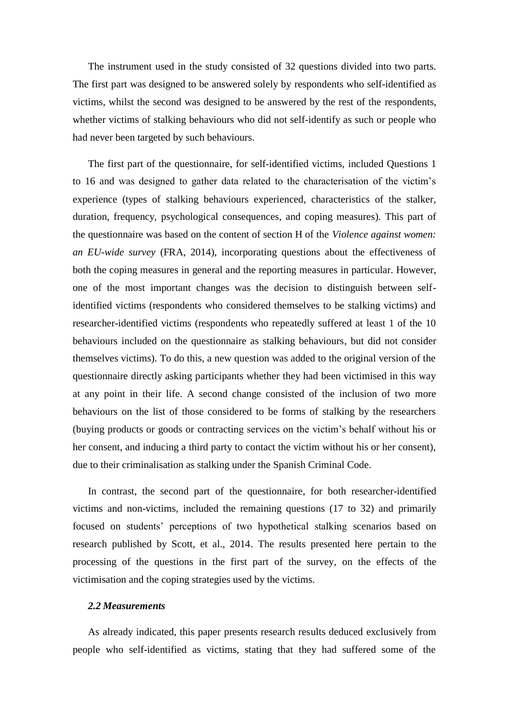The instrument used in the study consisted of 32 questions divided into two parts. The first part was designed to be answered solely by respondents who self-identified as victims, whilst the second was designed to be answered by the rest of the respondents, whether victims of stalking behaviours who did not self-identify as such or people who had never been targeted by such behaviours.

The first part of the questionnaire, for self-identified victims, included Questions 1 to 16 and was designed to gather data related to the characterisation of the victim's experience (types of stalking behaviours experienced, characteristics of the stalker, duration, frequency, psychological consequences, and coping measures). This part of the questionnaire was based on the content of section H of the *Violence against women: an EU-wide survey* (FRA, 2014), incorporating questions about the effectiveness of both the coping measures in general and the reporting measures in particular. However, one of the most important changes was the decision to distinguish between selfidentified victims (respondents who considered themselves to be stalking victims) and researcher-identified victims (respondents who repeatedly suffered at least 1 of the 10 behaviours included on the questionnaire as stalking behaviours, but did not consider themselves victims). To do this, a new question was added to the original version of the questionnaire directly asking participants whether they had been victimised in this way at any point in their life. A second change consisted of the inclusion of two more behaviours on the list of those considered to be forms of stalking by the researchers (buying products or goods or contracting services on the victim's behalf without his or her consent, and inducing a third party to contact the victim without his or her consent), due to their criminalisation as stalking under the Spanish Criminal Code.

In contrast, the second part of the questionnaire, for both researcher-identified victims and non-victims, included the remaining questions (17 to 32) and primarily focused on students' perceptions of two hypothetical stalking scenarios based on research published by Scott, et al., 2014. The results presented here pertain to the processing of the questions in the first part of the survey, on the effects of the victimisation and the coping strategies used by the victims.

# *2.2 Measurements*

As already indicated, this paper presents research results deduced exclusively from people who self-identified as victims, stating that they had suffered some of the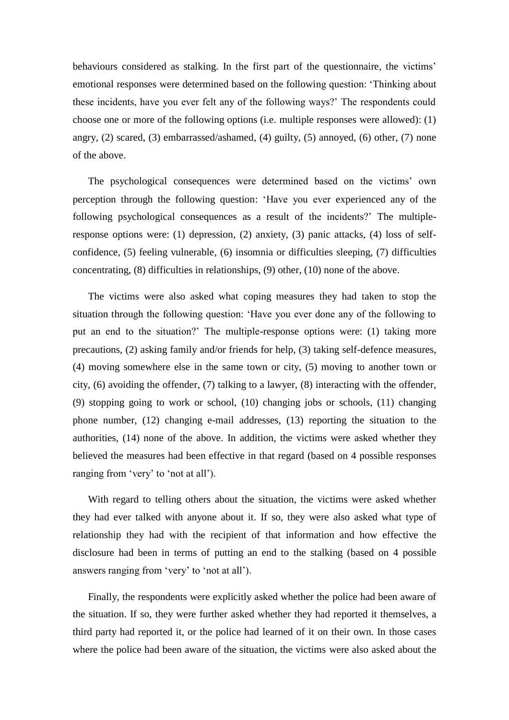behaviours considered as stalking. In the first part of the questionnaire, the victims' emotional responses were determined based on the following question: 'Thinking about these incidents, have you ever felt any of the following ways?' The respondents could choose one or more of the following options (i.e. multiple responses were allowed): (1) angry, (2) scared, (3) embarrassed/ashamed, (4) guilty, (5) annoyed, (6) other, (7) none of the above.

The psychological consequences were determined based on the victims' own perception through the following question: 'Have you ever experienced any of the following psychological consequences as a result of the incidents?' The multipleresponse options were: (1) depression, (2) anxiety, (3) panic attacks, (4) loss of selfconfidence, (5) feeling vulnerable, (6) insomnia or difficulties sleeping, (7) difficulties concentrating, (8) difficulties in relationships, (9) other, (10) none of the above.

The victims were also asked what coping measures they had taken to stop the situation through the following question: 'Have you ever done any of the following to put an end to the situation?' The multiple-response options were: (1) taking more precautions, (2) asking family and/or friends for help, (3) taking self-defence measures, (4) moving somewhere else in the same town or city, (5) moving to another town or city, (6) avoiding the offender, (7) talking to a lawyer, (8) interacting with the offender, (9) stopping going to work or school, (10) changing jobs or schools, (11) changing phone number, (12) changing e-mail addresses, (13) reporting the situation to the authorities, (14) none of the above. In addition, the victims were asked whether they believed the measures had been effective in that regard (based on 4 possible responses ranging from 'very' to 'not at all').

With regard to telling others about the situation, the victims were asked whether they had ever talked with anyone about it. If so, they were also asked what type of relationship they had with the recipient of that information and how effective the disclosure had been in terms of putting an end to the stalking (based on 4 possible answers ranging from 'very' to 'not at all').

Finally, the respondents were explicitly asked whether the police had been aware of the situation. If so, they were further asked whether they had reported it themselves, a third party had reported it, or the police had learned of it on their own. In those cases where the police had been aware of the situation, the victims were also asked about the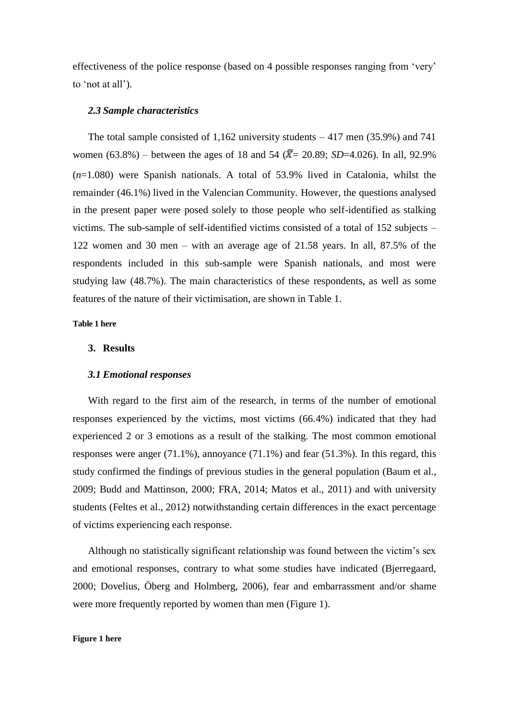effectiveness of the police response (based on 4 possible responses ranging from 'very' to 'not at all').

# *2.3 Sample characteristics*

The total sample consisted of 1,162 university students – 417 men (35.9%) and 741 women (63.8%) – between the ages of 18 and 54 ( $\bar{X}$  = 20.89; *SD*=4.026). In all, 92.9% (*n*=1.080) were Spanish nationals. A total of 53.9% lived in Catalonia, whilst the remainder (46.1%) lived in the Valencian Community. However, the questions analysed in the present paper were posed solely to those people who self-identified as stalking victims. The sub-sample of self-identified victims consisted of a total of 152 subjects – 122 women and 30 men – with an average age of 21.58 years. In all, 87.5% of the respondents included in this sub-sample were Spanish nationals, and most were studying law (48.7%). The main characteristics of these respondents, as well as some features of the nature of their victimisation, are shown in Table 1.

# **Table 1 here**

# **3. Results**

# *3.1 Emotional responses*

With regard to the first aim of the research, in terms of the number of emotional responses experienced by the victims, most victims (66.4%) indicated that they had experienced 2 or 3 emotions as a result of the stalking. The most common emotional responses were anger (71.1%), annoyance (71.1%) and fear (51.3%). In this regard, this study confirmed the findings of previous studies in the general population (Baum et al., 2009; Budd and Mattinson, 2000; FRA, 2014; Matos et al., 2011) and with university students (Feltes et al., 2012) notwithstanding certain differences in the exact percentage of victims experiencing each response.

Although no statistically significant relationship was found between the victim's sex and emotional responses, contrary to what some studies have indicated (Bjerregaard, 2000; Dovelius, Öberg and Holmberg, 2006), fear and embarrassment and/or shame were more frequently reported by women than men (Figure 1).

### **Figure 1 here**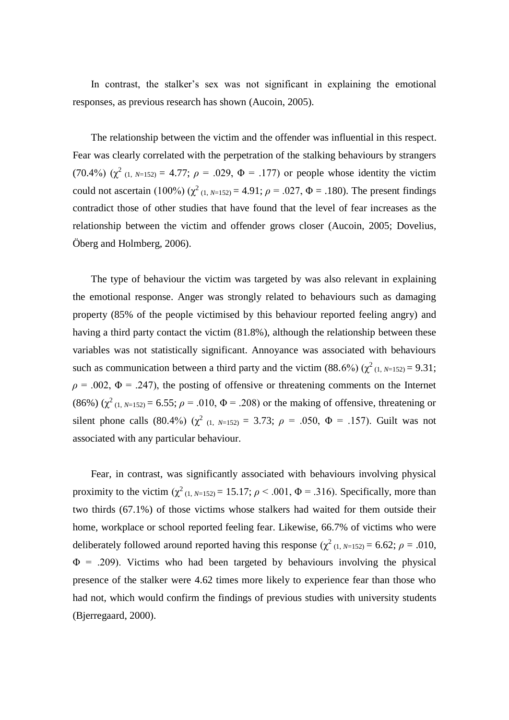In contrast, the stalker's sex was not significant in explaining the emotional responses, as previous research has shown (Aucoin, 2005).

The relationship between the victim and the offender was influential in this respect. Fear was clearly correlated with the perpetration of the stalking behaviours by strangers (70.4%) ( $\chi^2$  (1,  $N=152$ ) = 4.77;  $\rho = .029$ ,  $\Phi = .177$ ) or people whose identity the victim could not ascertain (100%) ( $\chi^2$ <sub>(1, N=152)</sub> = 4.91;  $\rho$  = .027,  $\Phi$  = .180). The present findings contradict those of other studies that have found that the level of fear increases as the relationship between the victim and offender grows closer (Aucoin, 2005; Dovelius*,*  Öberg and Holmberg*,* 2006).

The type of behaviour the victim was targeted by was also relevant in explaining the emotional response. Anger was strongly related to behaviours such as damaging property (85% of the people victimised by this behaviour reported feeling angry) and having a third party contact the victim (81.8%), although the relationship between these variables was not statistically significant. Annoyance was associated with behaviours such as communication between a third party and the victim  $(88.6\%) (\chi^2_{(1, N=152)} = 9.31;$  $\rho = .002$ ,  $\Phi = .247$ ), the posting of offensive or threatening comments on the Internet (86%) ( $\chi^2$ <sub>(1, N=152)</sub> = 6.55;  $\rho$  = .010,  $\Phi$  = .208) or the making of offensive, threatening or silent phone calls (80.4%) ( $\chi^2$  (1,  $N=152$ ) = 3.73;  $\rho = .050$ ,  $\Phi = .157$ ). Guilt was not associated with any particular behaviour.

Fear, in contrast, was significantly associated with behaviours involving physical proximity to the victim  $(\chi^2_{(1, N=152)} = 15.17; \rho < .001, \Phi = .316)$ . Specifically, more than two thirds (67.1%) of those victims whose stalkers had waited for them outside their home, workplace or school reported feeling fear. Likewise, 66.7% of victims who were deliberately followed around reported having this response  $(\chi^2)_{(1, N=152)} = 6.62$ ;  $\rho = .010$ ,  $\Phi$  = .209). Victims who had been targeted by behaviours involving the physical presence of the stalker were 4.62 times more likely to experience fear than those who had not, which would confirm the findings of previous studies with university students (Bjerregaard, 2000).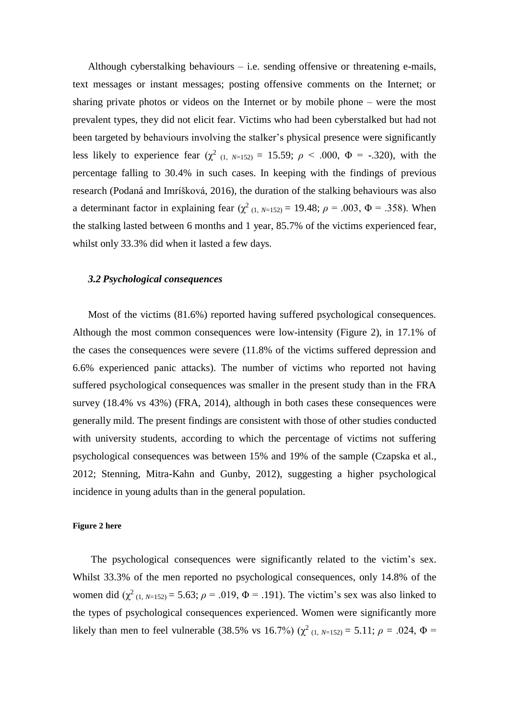Although cyberstalking behaviours  $-$  i.e. sending offensive or threatening e-mails, text messages or instant messages; posting offensive comments on the Internet; or sharing private photos or videos on the Internet or by mobile phone – were the most prevalent types, they did not elicit fear. Victims who had been cyberstalked but had not been targeted by behaviours involving the stalker's physical presence were significantly less likely to experience fear  $(\chi^2)_{(1, N=152)} = 15.59$ ;  $\rho < .000$ ,  $\Phi = -.320$ ), with the percentage falling to 30.4% in such cases. In keeping with the findings of previous research (Podaná and Imríšková, 2016), the duration of the stalking behaviours was also a determinant factor in explaining fear  $(\chi^2)_{(1, N=152)} = 19.48$ ;  $\rho = .003$ ,  $\Phi = .358$ ). When the stalking lasted between 6 months and 1 year, 85.7% of the victims experienced fear, whilst only 33.3% did when it lasted a few days.

# *3.2 Psychological consequences*

Most of the victims (81.6%) reported having suffered psychological consequences. Although the most common consequences were low-intensity (Figure 2), in 17.1% of the cases the consequences were severe (11.8% of the victims suffered depression and 6.6% experienced panic attacks). The number of victims who reported not having suffered psychological consequences was smaller in the present study than in the FRA survey (18.4% vs 43%) (FRA, 2014), although in both cases these consequences were generally mild. The present findings are consistent with those of other studies conducted with university students, according to which the percentage of victims not suffering psychological consequences was between 15% and 19% of the sample (Czapska et al., 2012; Stenning*,* Mitra-Kahn and Gunby, 2012), suggesting a higher psychological incidence in young adults than in the general population.

# **Figure 2 here**

The psychological consequences were significantly related to the victim's sex. Whilst 33.3% of the men reported no psychological consequences, only 14.8% of the women did  $(\chi^2 (1, N=152) = 5.63; \rho = .019, \Phi = .191)$ . The victim's sex was also linked to the types of psychological consequences experienced. Women were significantly more likely than men to feel vulnerable (38.5% vs 16.7%) ( $\chi^2$  (1,  $N=152$ ) = 5.11;  $\rho = .024$ ,  $\Phi =$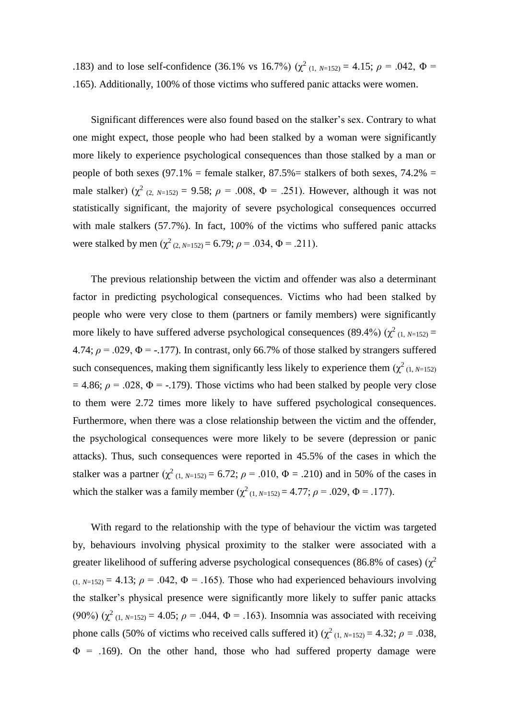.183) and to lose self-confidence (36.1% vs 16.7%) ( $\chi^2$  (1,  $N=152$ ) = 4.15;  $\rho = .042$ ,  $\Phi =$ .165). Additionally, 100% of those victims who suffered panic attacks were women.

Significant differences were also found based on the stalker's sex. Contrary to what one might expect, those people who had been stalked by a woman were significantly more likely to experience psychological consequences than those stalked by a man or people of both sexes (97.1% = female stalker, 87.5% = stalkers of both sexes, 74.2% = male stalker)  $(\chi^2)_{(2, N=152)} = 9.58$ ;  $\rho = .008$ ,  $\Phi = .251$ ). However, although it was not statistically significant, the majority of severe psychological consequences occurred with male stalkers (57.7%). In fact, 100% of the victims who suffered panic attacks were stalked by men  $(\chi^2_{(2, N=152)} = 6.79; \rho = .034, \Phi = .211).$ 

The previous relationship between the victim and offender was also a determinant factor in predicting psychological consequences. Victims who had been stalked by people who were very close to them (partners or family members) were significantly more likely to have suffered adverse psychological consequences (89.4%) ( $\chi^2$  (1,  $N=152$ ) = 4.74;  $\rho = .029$ ,  $\Phi = -.177$ ). In contrast, only 66.7% of those stalked by strangers suffered such consequences, making them significantly less likely to experience them  $(\chi^2)_{(1, N=152)}$  $= 4.86$ ;  $\rho = .028$ ,  $\Phi = .179$ ). Those victims who had been stalked by people very close to them were 2.72 times more likely to have suffered psychological consequences. Furthermore, when there was a close relationship between the victim and the offender, the psychological consequences were more likely to be severe (depression or panic attacks). Thus, such consequences were reported in 45.5% of the cases in which the stalker was a partner  $(\chi^2_{(1, N=152)} = 6.72; \rho = .010, \Phi = .210)$  and in 50% of the cases in which the stalker was a family member  $(\chi^2_{(1, N=152)} = 4.77; \rho = .029, \Phi = .177)$ .

With regard to the relationship with the type of behaviour the victim was targeted by, behaviours involving physical proximity to the stalker were associated with a greater likelihood of suffering adverse psychological consequences (86.8% of cases) ( $\chi^2$  $(1, N=152) = 4.13$ ;  $\rho = .042$ ,  $\Phi = .165$ ). Those who had experienced behaviours involving the stalker's physical presence were significantly more likely to suffer panic attacks (90%) ( $\chi^2$  (1,  $N=152$ ) = 4.05;  $\rho = .044$ ,  $\Phi = .163$ ). Insomnia was associated with receiving phone calls (50% of victims who received calls suffered it)  $(\chi^2)_{(1, N=152)} = 4.32$ ;  $\rho = .038$ ,  $\Phi$  = .169). On the other hand, those who had suffered property damage were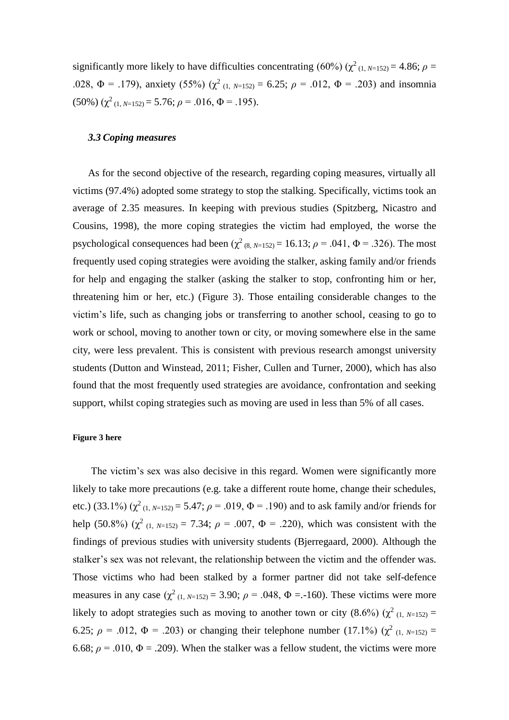significantly more likely to have difficulties concentrating (60%) ( $\chi^2$ <sub>(1, N=152)</sub> = 4.86;  $\rho$  = .028,  $\Phi = .179$ ), anxiety (55%) ( $\chi^2$  (1,  $N=152$ ) = 6.25;  $\rho = .012$ ,  $\Phi = .203$ ) and insomnia  $(50\%) (\chi^2_{(1, N=152)} = 5.76; \rho = .016, \Phi = .195).$ 

# *3.3 Coping measures*

As for the second objective of the research, regarding coping measures, virtually all victims (97.4%) adopted some strategy to stop the stalking. Specifically, victims took an average of 2.35 measures. In keeping with previous studies (Spitzberg, Nicastro and Cousins*,* 1998), the more coping strategies the victim had employed, the worse the psychological consequences had been  $(\chi^2_{(8, N=152)} = 16.13; \rho = .041, \Phi = .326)$ . The most frequently used coping strategies were avoiding the stalker, asking family and/or friends for help and engaging the stalker (asking the stalker to stop, confronting him or her, threatening him or her, etc.) (Figure 3). Those entailing considerable changes to the victim's life, such as changing jobs or transferring to another school, ceasing to go to work or school, moving to another town or city, or moving somewhere else in the same city, were less prevalent. This is consistent with previous research amongst university students (Dutton and Winstead, 2011; Fisher, Cullen and Turner, 2000), which has also found that the most frequently used strategies are avoidance, confrontation and seeking support, whilst coping strategies such as moving are used in less than 5% of all cases.

#### **Figure 3 here**

The victim's sex was also decisive in this regard. Women were significantly more likely to take more precautions (e.g. take a different route home, change their schedules, etc.) (33.1%) ( $\chi^2$ <sub>(1, N=152)</sub> = 5.47;  $\rho$  = .019,  $\Phi$  = .190) and to ask family and/or friends for help (50.8%) ( $\chi^2$  (1,  $N=152$ ) = 7.34;  $\rho = .007$ ,  $\Phi = .220$ ), which was consistent with the findings of previous studies with university students (Bjerregaard, 2000). Although the stalker's sex was not relevant, the relationship between the victim and the offender was. Those victims who had been stalked by a former partner did not take self-defence measures in any case  $(\chi^2_{(1, N=152)} = 3.90; \rho = .048, \Phi = .160)$ . These victims were more likely to adopt strategies such as moving to another town or city (8.6%) ( $\chi^2$  (1, *N*=152) = 6.25;  $\rho = .012$ ,  $\Phi = .203$ ) or changing their telephone number (17.1%) ( $\chi^2$  (1, N=152) = 6.68;  $\rho = .010$ ,  $\Phi = .209$ ). When the stalker was a fellow student, the victims were more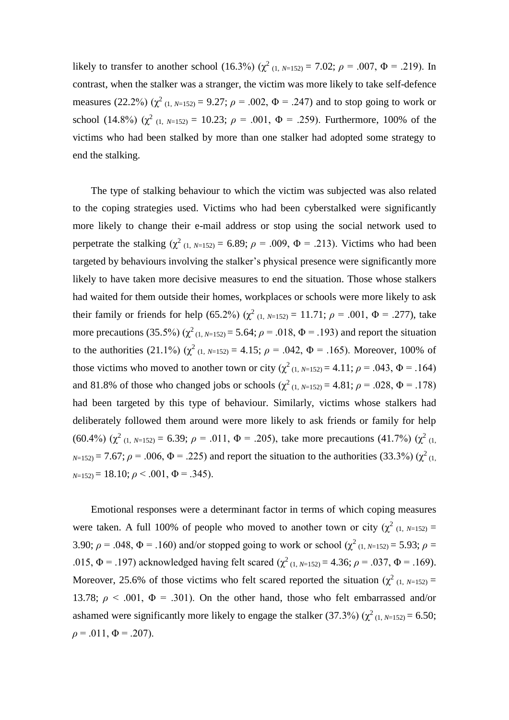likely to transfer to another school (16.3%) ( $\chi^2$  (1,  $N=152$ ) = 7.02;  $\rho = .007$ ,  $\Phi = .219$ ). In contrast, when the stalker was a stranger, the victim was more likely to take self-defence measures (22.2%) ( $\chi^2$  (1,  $N=152$ ) = 9.27;  $\rho = .002$ ,  $\Phi = .247$ ) and to stop going to work or school (14.8%) ( $\chi^2$  (1,  $N=152$ ) = 10.23;  $\rho = .001$ ,  $\Phi = .259$ ). Furthermore, 100% of the victims who had been stalked by more than one stalker had adopted some strategy to end the stalking.

The type of stalking behaviour to which the victim was subjected was also related to the coping strategies used. Victims who had been cyberstalked were significantly more likely to change their e-mail address or stop using the social network used to perpetrate the stalking  $(\chi^2)_{(1, N=152)} = 6.89$ ;  $\rho = .009$ ,  $\Phi = .213$ ). Victims who had been targeted by behaviours involving the stalker's physical presence were significantly more likely to have taken more decisive measures to end the situation. Those whose stalkers had waited for them outside their homes, workplaces or schools were more likely to ask their family or friends for help (65.2%) ( $\chi^2$  (1,  $N=152$ ) = 11.71;  $\rho = .001$ ,  $\Phi = .277$ ), take more precautions (35.5%) ( $\chi^2$ <sub>(1, N=152)</sub> = 5.64;  $\rho$  = .018,  $\Phi$  = .193) and report the situation to the authorities (21.1%) ( $\chi^2$  (1,  $N=152$ ) = 4.15;  $\rho = .042$ ,  $\Phi = .165$ ). Moreover, 100% of those victims who moved to another town or city  $(\chi^2_{(1, N=152)} = 4.11; \rho = .043, \Phi = .164)$ and 81.8% of those who changed jobs or schools  $(\chi^2_{(1, N=152)} = 4.81; \rho = .028, \Phi = .178)$ had been targeted by this type of behaviour. Similarly, victims whose stalkers had deliberately followed them around were more likely to ask friends or family for help (60.4%) ( $\chi^2$ <sub>(1, N=152)</sub> = 6.39;  $\rho$  = .011,  $\Phi$  = .205), take more precautions (41.7%) ( $\chi^2$ <sub>(1,</sub>  $N=152$ ) = 7.67;  $\rho = .006$ ,  $\Phi = .225$ ) and report the situation to the authorities (33.3%) ( $\chi^2$ <sub>(1,</sub> *<sup>N</sup>*=152) = 18.10; *ρ* < .001, Φ = .345).

Emotional responses were a determinant factor in terms of which coping measures were taken. A full 100% of people who moved to another town or city  $(\chi^2)_{(1, N=152)}$  = 3.90;  $\rho = .048$ ,  $\Phi = .160$ ) and/or stopped going to work or school ( $\chi^2$ <sub>(1, N=152)</sub> = 5.93;  $\rho =$ .015,  $\Phi = .197$ ) acknowledged having felt scared ( $\chi^2$ <sub>(1, N=152)</sub> = 4.36;  $\rho = .037$ ,  $\Phi = .169$ ). Moreover, 25.6% of those victims who felt scared reported the situation  $(\chi^2)_{(1, N=152)} =$ 13.78;  $\rho$  < .001,  $\Phi$  = .301). On the other hand, those who felt embarrassed and/or ashamed were significantly more likely to engage the stalker  $(37.3\%) (\chi^2_{(1, N=152)} = 6.50;$  $\rho = .011, \Phi = .207$ ).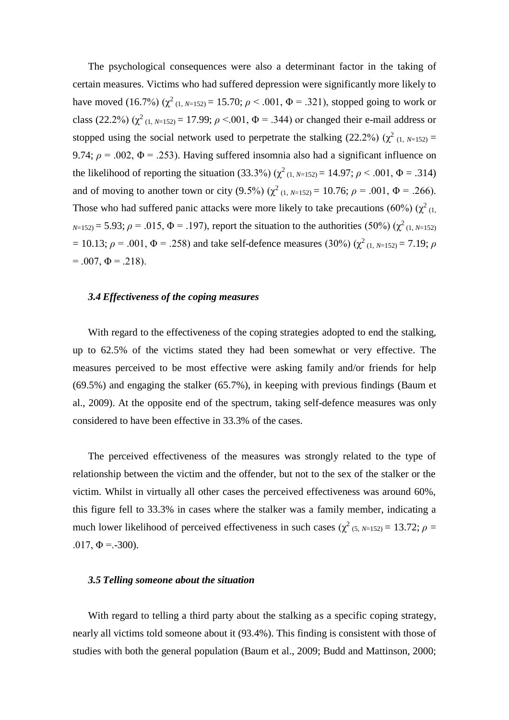The psychological consequences were also a determinant factor in the taking of certain measures. Victims who had suffered depression were significantly more likely to have moved (16.7%)  $(\chi^2_{(1, N=152)} = 15.70; \rho < .001, \Phi = .321)$ , stopped going to work or class (22.2%) ( $\chi^2$ <sub>(1, *N*=152)</sub> = 17.99;  $\rho$  <.001,  $\Phi$  = .344) or changed their e-mail address or stopped using the social network used to perpetrate the stalking  $(22.2\%) (\chi^2)_{(1, N=152)} =$ 9.74;  $\rho = .002$ ,  $\Phi = .253$ ). Having suffered insomnia also had a significant influence on the likelihood of reporting the situation (33.3%) ( $\chi^2$ <sub>(1, N=152)</sub> = 14.97;  $\rho$  < .001,  $\Phi$  = .314) and of moving to another town or city (9.5%) ( $\chi^2$ <sub>(1, N=152)</sub> = 10.76;  $\rho$  = .001,  $\Phi$  = .266). Those who had suffered panic attacks were more likely to take precautions (60%) ( $\chi^2$ <sub>(1,</sub>  $N=152$ ) = 5.93;  $\rho = .015$ ,  $\Phi = .197$ ), report the situation to the authorities (50%) ( $\chi^2$ <sub>(1,  $N=152$ )</sub> = 10.13;  $ρ = .001$ ,  $Φ = .258$ ) and take self-defence measures (30%) ( $χ²_{(1, N=152)} = 7.19$ ;  $ρ$  $= .007, \Phi = .218$ ).

# *3.4 Effectiveness of the coping measures*

With regard to the effectiveness of the coping strategies adopted to end the stalking, up to 62.5% of the victims stated they had been somewhat or very effective. The measures perceived to be most effective were asking family and/or friends for help (69.5%) and engaging the stalker (65.7%), in keeping with previous findings (Baum et al., 2009). At the opposite end of the spectrum, taking self-defence measures was only considered to have been effective in 33.3% of the cases.

The perceived effectiveness of the measures was strongly related to the type of relationship between the victim and the offender, but not to the sex of the stalker or the victim. Whilst in virtually all other cases the perceived effectiveness was around 60%, this figure fell to 33.3% in cases where the stalker was a family member, indicating a much lower likelihood of perceived effectiveness in such cases  $(\chi^2)_{(5, N=152)} = 13.72$ ;  $\rho =$ .017,  $\Phi = -300$ ).

# *3.5 Telling someone about the situation*

With regard to telling a third party about the stalking as a specific coping strategy, nearly all victims told someone about it (93.4%). This finding is consistent with those of studies with both the general population (Baum et al., 2009; Budd and Mattinson, 2000;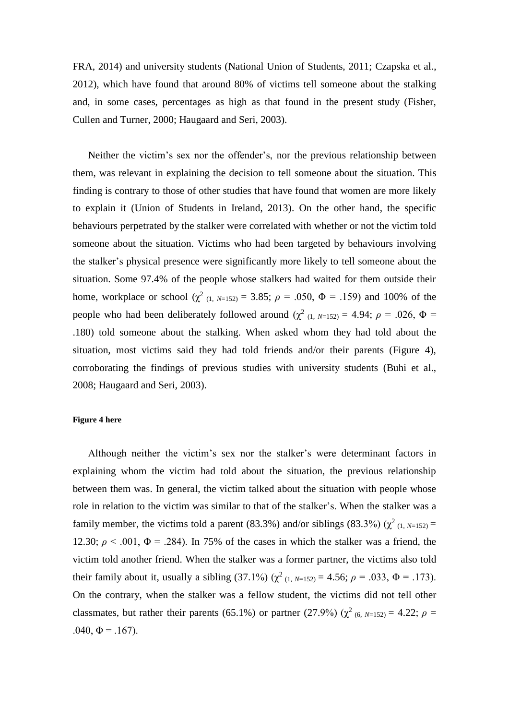FRA, 2014) and university students (National Union of Students, 2011; Czapska et al., 2012), which have found that around 80% of victims tell someone about the stalking and, in some cases, percentages as high as that found in the present study (Fisher, Cullen and Turner, 2000; Haugaard and Seri, 2003).

Neither the victim's sex nor the offender's, nor the previous relationship between them, was relevant in explaining the decision to tell someone about the situation. This finding is contrary to those of other studies that have found that women are more likely to explain it (Union of Students in Ireland, 2013). On the other hand, the specific behaviours perpetrated by the stalker were correlated with whether or not the victim told someone about the situation. Victims who had been targeted by behaviours involving the stalker's physical presence were significantly more likely to tell someone about the situation. Some 97.4% of the people whose stalkers had waited for them outside their home, workplace or school  $(\chi^2_{(1, N=152)} = 3.85; \rho = .050, \Phi = .159)$  and 100% of the people who had been deliberately followed around ( $\chi^2$  (1, *N*=152) = 4.94; *ρ* = .026, Φ = .180) told someone about the stalking. When asked whom they had told about the situation, most victims said they had told friends and/or their parents (Figure 4), corroborating the findings of previous studies with university students (Buhi et al., 2008; Haugaard and Seri, 2003).

### **Figure 4 here**

Although neither the victim's sex nor the stalker's were determinant factors in explaining whom the victim had told about the situation, the previous relationship between them was. In general, the victim talked about the situation with people whose role in relation to the victim was similar to that of the stalker's. When the stalker was a family member, the victims told a parent (83.3%) and/or siblings (83.3%)  $(\chi^2)_{(1, N=152)} =$ 12.30;  $\rho$  < .001,  $\Phi$  = .284). In 75% of the cases in which the stalker was a friend, the victim told another friend. When the stalker was a former partner, the victims also told their family about it, usually a sibling (37.1%) ( $\chi^2$ <sub>(1, N=152)</sub> = 4.56;  $\rho$  = .033,  $\Phi$  = .173). On the contrary, when the stalker was a fellow student, the victims did not tell other classmates, but rather their parents (65.1%) or partner (27.9%) ( $\chi^2$  (6, *N*=152) = 4.22;  $\rho$  = .040,  $\Phi = .167$ ).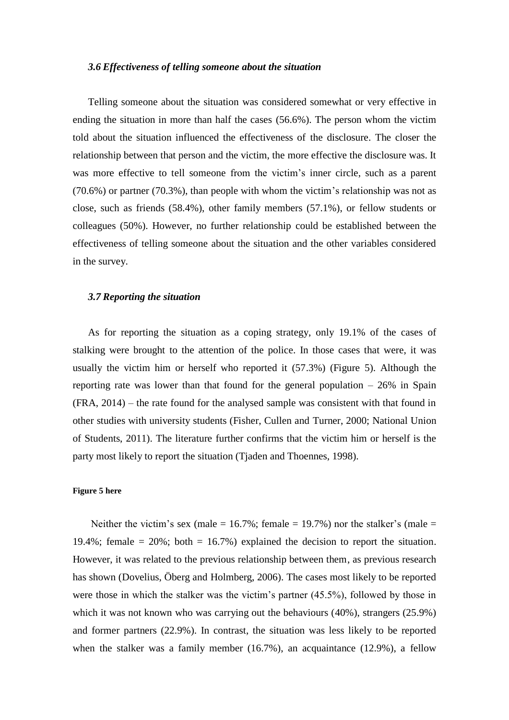# *3.6 Effectiveness of telling someone about the situation*

Telling someone about the situation was considered somewhat or very effective in ending the situation in more than half the cases (56.6%). The person whom the victim told about the situation influenced the effectiveness of the disclosure. The closer the relationship between that person and the victim, the more effective the disclosure was. It was more effective to tell someone from the victim's inner circle, such as a parent (70.6%) or partner (70.3%), than people with whom the victim's relationship was not as close, such as friends (58.4%), other family members (57.1%), or fellow students or colleagues (50%). However, no further relationship could be established between the effectiveness of telling someone about the situation and the other variables considered in the survey.

# *3.7 Reporting the situation*

As for reporting the situation as a coping strategy, only 19.1% of the cases of stalking were brought to the attention of the police. In those cases that were, it was usually the victim him or herself who reported it (57.3%) (Figure 5). Although the reporting rate was lower than that found for the general population  $-26\%$  in Spain (FRA, 2014) – the rate found for the analysed sample was consistent with that found in other studies with university students (Fisher, Cullen and Turner, 2000; National Union of Students, 2011). The literature further confirms that the victim him or herself is the party most likely to report the situation (Tjaden and Thoennes, 1998).

# **Figure 5 here**

Neither the victim's sex (male  $= 16.7\%$ ; female  $= 19.7\%$ ) nor the stalker's (male  $=$ 19.4%; female  $= 20\%$ ; both  $= 16.7\%$ ) explained the decision to report the situation. However, it was related to the previous relationship between them, as previous research has shown (Dovelius, Öberg and Holmberg, 2006). The cases most likely to be reported were those in which the stalker was the victim's partner (45.5%), followed by those in which it was not known who was carrying out the behaviours (40%), strangers (25.9%) and former partners (22.9%). In contrast, the situation was less likely to be reported when the stalker was a family member (16.7%), an acquaintance (12.9%), a fellow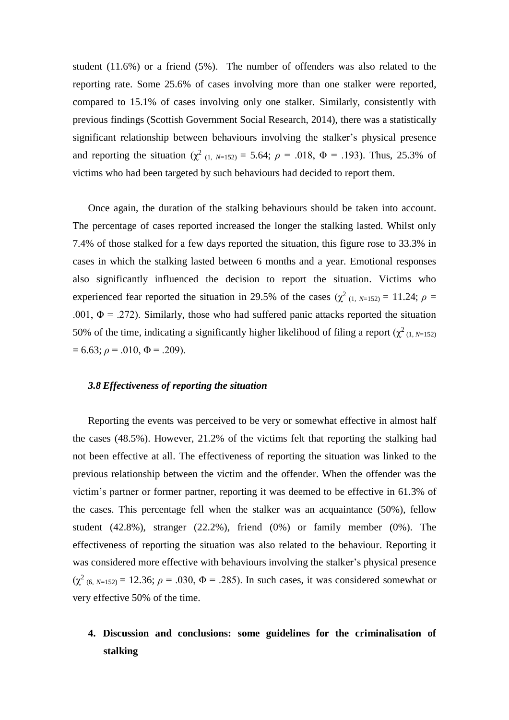student (11.6%) or a friend (5%). The number of offenders was also related to the reporting rate. Some 25.6% of cases involving more than one stalker were reported, compared to 15.1% of cases involving only one stalker. Similarly, consistently with previous findings (Scottish Government Social Research, 2014), there was a statistically significant relationship between behaviours involving the stalker's physical presence and reporting the situation  $(\chi^2)_{(1, N=152)} = 5.64$ ;  $\rho = .018$ ,  $\Phi = .193$ ). Thus, 25.3% of victims who had been targeted by such behaviours had decided to report them.

Once again, the duration of the stalking behaviours should be taken into account. The percentage of cases reported increased the longer the stalking lasted. Whilst only 7.4% of those stalked for a few days reported the situation, this figure rose to 33.3% in cases in which the stalking lasted between 6 months and a year. Emotional responses also significantly influenced the decision to report the situation. Victims who experienced fear reported the situation in 29.5% of the cases  $(\chi^2)_{(1, N=152)} = 11.24$ ;  $\rho =$ .001,  $\Phi = .272$ ). Similarly, those who had suffered panic attacks reported the situation 50% of the time, indicating a significantly higher likelihood of filing a report  $(\chi^2)_{(1, N=152)}$  $= 6.63; \rho = .010, \Phi = .209$ ).

# *3.8 Effectiveness of reporting the situation*

Reporting the events was perceived to be very or somewhat effective in almost half the cases (48.5%). However, 21.2% of the victims felt that reporting the stalking had not been effective at all. The effectiveness of reporting the situation was linked to the previous relationship between the victim and the offender. When the offender was the victim's partner or former partner, reporting it was deemed to be effective in 61.3% of the cases. This percentage fell when the stalker was an acquaintance (50%), fellow student (42.8%), stranger (22.2%), friend (0%) or family member (0%). The effectiveness of reporting the situation was also related to the behaviour. Reporting it was considered more effective with behaviours involving the stalker's physical presence  $(\chi^2$  (6, N=152) = 12.36;  $\rho = .030$ ,  $\Phi = .285$ ). In such cases, it was considered somewhat or very effective 50% of the time.

# **4. Discussion and conclusions: some guidelines for the criminalisation of stalking**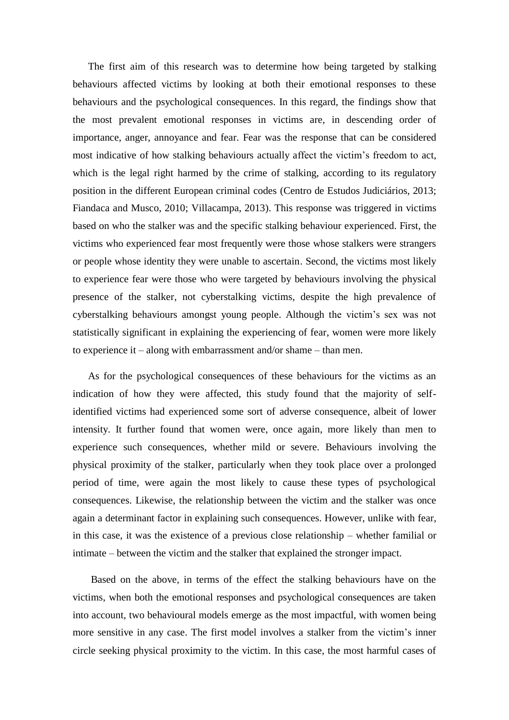The first aim of this research was to determine how being targeted by stalking behaviours affected victims by looking at both their emotional responses to these behaviours and the psychological consequences. In this regard, the findings show that the most prevalent emotional responses in victims are, in descending order of importance, anger, annoyance and fear. Fear was the response that can be considered most indicative of how stalking behaviours actually affect the victim's freedom to act, which is the legal right harmed by the crime of stalking, according to its regulatory position in the different European criminal codes (Centro de Estudos Judiciários, 2013; Fiandaca and Musco, 2010; Villacampa, 2013). This response was triggered in victims based on who the stalker was and the specific stalking behaviour experienced. First, the victims who experienced fear most frequently were those whose stalkers were strangers or people whose identity they were unable to ascertain. Second, the victims most likely to experience fear were those who were targeted by behaviours involving the physical presence of the stalker, not cyberstalking victims, despite the high prevalence of cyberstalking behaviours amongst young people. Although the victim's sex was not statistically significant in explaining the experiencing of fear, women were more likely to experience it – along with embarrassment and/or shame – than men.

As for the psychological consequences of these behaviours for the victims as an indication of how they were affected, this study found that the majority of selfidentified victims had experienced some sort of adverse consequence, albeit of lower intensity. It further found that women were, once again, more likely than men to experience such consequences, whether mild or severe. Behaviours involving the physical proximity of the stalker, particularly when they took place over a prolonged period of time, were again the most likely to cause these types of psychological consequences. Likewise, the relationship between the victim and the stalker was once again a determinant factor in explaining such consequences. However, unlike with fear, in this case, it was the existence of a previous close relationship – whether familial or intimate – between the victim and the stalker that explained the stronger impact.

Based on the above, in terms of the effect the stalking behaviours have on the victims, when both the emotional responses and psychological consequences are taken into account, two behavioural models emerge as the most impactful, with women being more sensitive in any case. The first model involves a stalker from the victim's inner circle seeking physical proximity to the victim. In this case, the most harmful cases of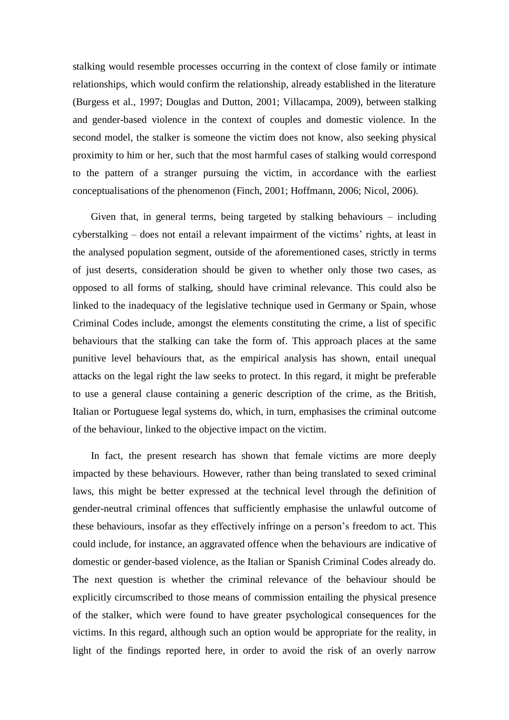stalking would resemble processes occurring in the context of close family or intimate relationships, which would confirm the relationship, already established in the literature (Burgess et al., 1997; Douglas and Dutton, 2001; Villacampa, 2009), between stalking and gender-based violence in the context of couples and domestic violence. In the second model, the stalker is someone the victim does not know, also seeking physical proximity to him or her, such that the most harmful cases of stalking would correspond to the pattern of a stranger pursuing the victim, in accordance with the earliest conceptualisations of the phenomenon (Finch, 2001; Hoffmann, 2006; Nicol, 2006).

Given that, in general terms, being targeted by stalking behaviours – including cyberstalking – does not entail a relevant impairment of the victims' rights, at least in the analysed population segment, outside of the aforementioned cases, strictly in terms of just deserts, consideration should be given to whether only those two cases, as opposed to all forms of stalking, should have criminal relevance. This could also be linked to the inadequacy of the legislative technique used in Germany or Spain, whose Criminal Codes include, amongst the elements constituting the crime, a list of specific behaviours that the stalking can take the form of. This approach places at the same punitive level behaviours that, as the empirical analysis has shown, entail unequal attacks on the legal right the law seeks to protect. In this regard, it might be preferable to use a general clause containing a generic description of the crime, as the British, Italian or Portuguese legal systems do, which, in turn, emphasises the criminal outcome of the behaviour, linked to the objective impact on the victim.

In fact, the present research has shown that female victims are more deeply impacted by these behaviours. However, rather than being translated to sexed criminal laws, this might be better expressed at the technical level through the definition of gender-neutral criminal offences that sufficiently emphasise the unlawful outcome of these behaviours, insofar as they effectively infringe on a person's freedom to act. This could include, for instance, an aggravated offence when the behaviours are indicative of domestic or gender-based violence, as the Italian or Spanish Criminal Codes already do. The next question is whether the criminal relevance of the behaviour should be explicitly circumscribed to those means of commission entailing the physical presence of the stalker, which were found to have greater psychological consequences for the victims. In this regard, although such an option would be appropriate for the reality, in light of the findings reported here, in order to avoid the risk of an overly narrow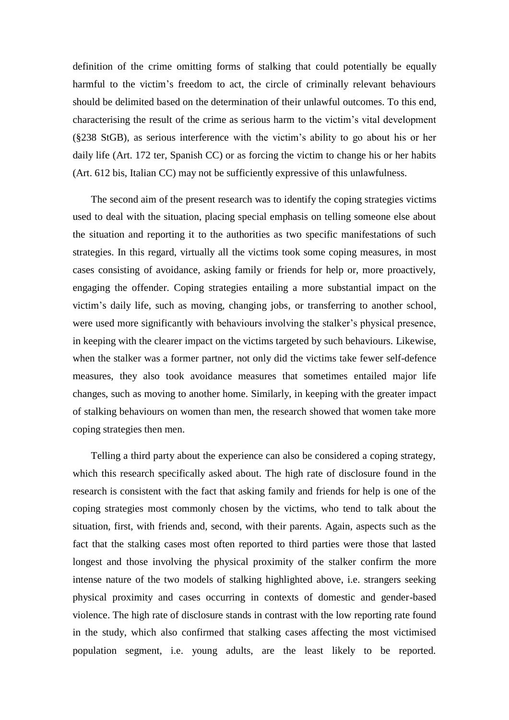definition of the crime omitting forms of stalking that could potentially be equally harmful to the victim's freedom to act, the circle of criminally relevant behaviours should be delimited based on the determination of their unlawful outcomes. To this end, characterising the result of the crime as serious harm to the victim's vital development (§238 StGB), as serious interference with the victim's ability to go about his or her daily life (Art. 172 ter, Spanish CC) or as forcing the victim to change his or her habits (Art. 612 bis, Italian CC) may not be sufficiently expressive of this unlawfulness.

The second aim of the present research was to identify the coping strategies victims used to deal with the situation, placing special emphasis on telling someone else about the situation and reporting it to the authorities as two specific manifestations of such strategies. In this regard, virtually all the victims took some coping measures, in most cases consisting of avoidance, asking family or friends for help or, more proactively, engaging the offender. Coping strategies entailing a more substantial impact on the victim's daily life, such as moving, changing jobs, or transferring to another school, were used more significantly with behaviours involving the stalker's physical presence, in keeping with the clearer impact on the victims targeted by such behaviours. Likewise, when the stalker was a former partner, not only did the victims take fewer self-defence measures, they also took avoidance measures that sometimes entailed major life changes, such as moving to another home. Similarly, in keeping with the greater impact of stalking behaviours on women than men, the research showed that women take more coping strategies then men.

Telling a third party about the experience can also be considered a coping strategy, which this research specifically asked about. The high rate of disclosure found in the research is consistent with the fact that asking family and friends for help is one of the coping strategies most commonly chosen by the victims, who tend to talk about the situation, first, with friends and, second, with their parents. Again, aspects such as the fact that the stalking cases most often reported to third parties were those that lasted longest and those involving the physical proximity of the stalker confirm the more intense nature of the two models of stalking highlighted above, i.e. strangers seeking physical proximity and cases occurring in contexts of domestic and gender-based violence. The high rate of disclosure stands in contrast with the low reporting rate found in the study, which also confirmed that stalking cases affecting the most victimised population segment, i.e. young adults, are the least likely to be reported.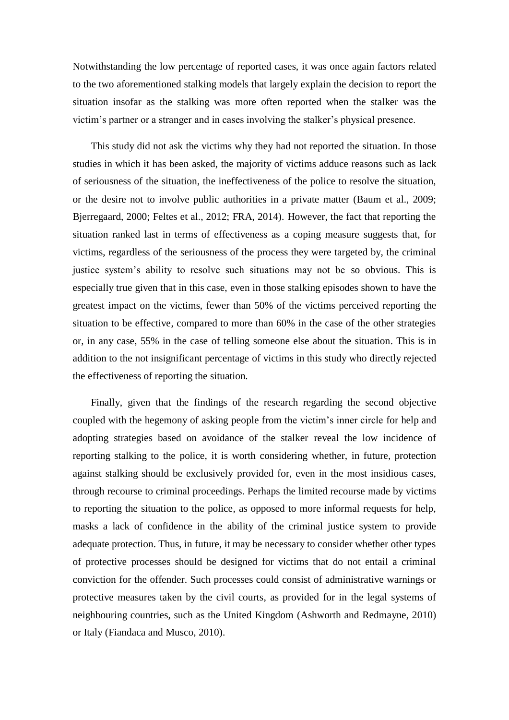Notwithstanding the low percentage of reported cases, it was once again factors related to the two aforementioned stalking models that largely explain the decision to report the situation insofar as the stalking was more often reported when the stalker was the victim's partner or a stranger and in cases involving the stalker's physical presence.

This study did not ask the victims why they had not reported the situation. In those studies in which it has been asked, the majority of victims adduce reasons such as lack of seriousness of the situation, the ineffectiveness of the police to resolve the situation, or the desire not to involve public authorities in a private matter (Baum et al., 2009; Bjerregaard, 2000; Feltes et al., 2012; FRA, 2014). However, the fact that reporting the situation ranked last in terms of effectiveness as a coping measure suggests that, for victims, regardless of the seriousness of the process they were targeted by, the criminal justice system's ability to resolve such situations may not be so obvious. This is especially true given that in this case, even in those stalking episodes shown to have the greatest impact on the victims, fewer than 50% of the victims perceived reporting the situation to be effective, compared to more than 60% in the case of the other strategies or, in any case, 55% in the case of telling someone else about the situation. This is in addition to the not insignificant percentage of victims in this study who directly rejected the effectiveness of reporting the situation.

Finally, given that the findings of the research regarding the second objective coupled with the hegemony of asking people from the victim's inner circle for help and adopting strategies based on avoidance of the stalker reveal the low incidence of reporting stalking to the police, it is worth considering whether, in future, protection against stalking should be exclusively provided for, even in the most insidious cases, through recourse to criminal proceedings. Perhaps the limited recourse made by victims to reporting the situation to the police, as opposed to more informal requests for help, masks a lack of confidence in the ability of the criminal justice system to provide adequate protection. Thus, in future, it may be necessary to consider whether other types of protective processes should be designed for victims that do not entail a criminal conviction for the offender. Such processes could consist of administrative warnings or protective measures taken by the civil courts, as provided for in the legal systems of neighbouring countries, such as the United Kingdom (Ashworth and Redmayne, 2010) or Italy (Fiandaca and Musco, 2010).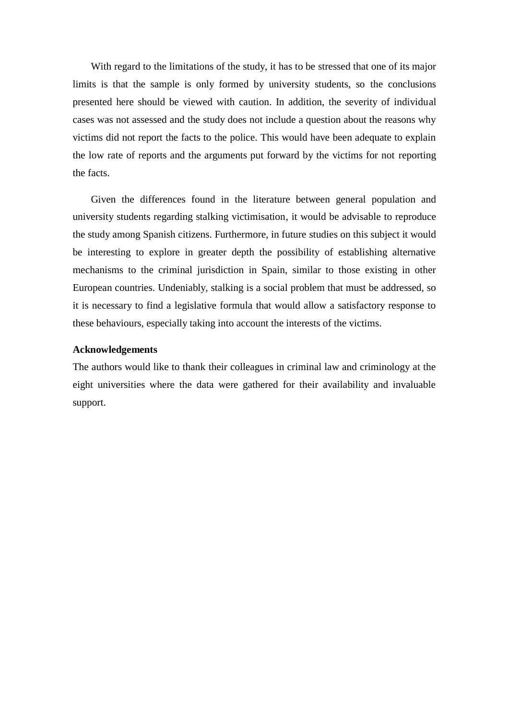With regard to the limitations of the study, it has to be stressed that one of its major limits is that the sample is only formed by university students, so the conclusions presented here should be viewed with caution. In addition, the severity of individual cases was not assessed and the study does not include a question about the reasons why victims did not report the facts to the police. This would have been adequate to explain the low rate of reports and the arguments put forward by the victims for not reporting the facts.

Given the differences found in the literature between general population and university students regarding stalking victimisation, it would be advisable to reproduce the study among Spanish citizens. Furthermore, in future studies on this subject it would be interesting to explore in greater depth the possibility of establishing alternative mechanisms to the criminal jurisdiction in Spain, similar to those existing in other European countries. Undeniably, stalking is a social problem that must be addressed, so it is necessary to find a legislative formula that would allow a satisfactory response to these behaviours, especially taking into account the interests of the victims.

# **Acknowledgements**

The authors would like to thank their colleagues in criminal law and criminology at the eight universities where the data were gathered for their availability and invaluable support.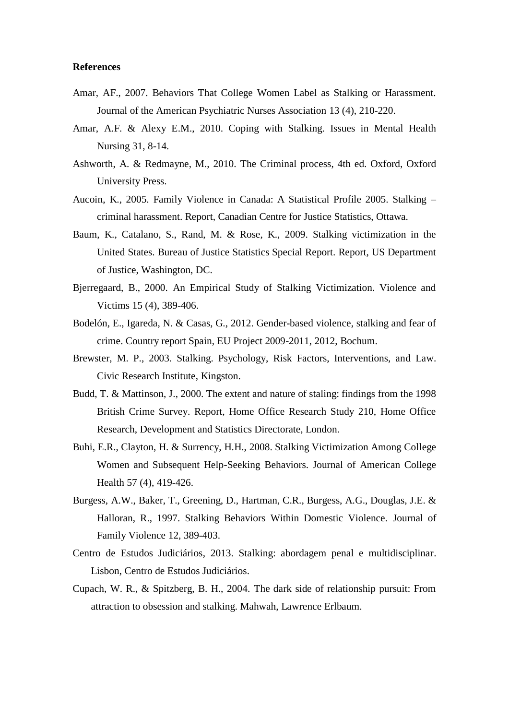# **References**

- Amar, AF., 2007. Behaviors That College Women Label as Stalking or Harassment. Journal of the American Psychiatric Nurses Association 13 (4), 210-220.
- Amar, A.F. & Alexy E.M., 2010. Coping with Stalking. Issues in Mental Health Nursing 31, 8-14.
- Ashworth, A. & Redmayne, M., 2010. The Criminal process, 4th ed. Oxford, Oxford University Press.
- Aucoin, K., 2005. Family Violence in Canada: A Statistical Profile 2005. Stalking criminal harassment. Report, Canadian Centre for Justice Statistics, Ottawa.
- Baum, K., Catalano, S., Rand, M. & Rose, K., 2009. Stalking victimization in the United States. Bureau of Justice Statistics Special Report. Report, US Department of Justice, Washington, DC.
- Bjerregaard, B., 2000. An Empirical Study of Stalking Victimization. Violence and Victims 15 (4), 389-406.
- Bodelón, E., Igareda, N. & Casas, G., 2012. Gender-based violence, stalking and fear of crime. Country report Spain, EU Project 2009-2011, 2012, Bochum.
- Brewster, M. P., 2003. Stalking. Psychology, Risk Factors, Interventions, and Law. Civic Research Institute, Kingston.
- Budd, T. & Mattinson, J., 2000. The extent and nature of staling: findings from the 1998 British Crime Survey. Report, Home Office Research Study 210, Home Office Research, Development and Statistics Directorate, London.
- Buhi, E.R., Clayton, H. & Surrency, H.H., 2008. Stalking Victimization Among College Women and Subsequent Help-Seeking Behaviors. Journal of American College Health 57 (4), 419-426.
- Burgess, A.W., Baker, T., Greening, D., Hartman, C.R., Burgess, A.G., Douglas, J.E. & Halloran, R., 1997. Stalking Behaviors Within Domestic Violence. Journal of Family Violence 12, 389-403.
- Centro de Estudos Judiciários, 2013. Stalking: abordagem penal e multidisciplinar. Lisbon, Centro de Estudos Judiciários.
- Cupach, W. R., & Spitzberg, B. H., 2004. The dark side of relationship pursuit: From attraction to obsession and stalking. Mahwah, Lawrence Erlbaum.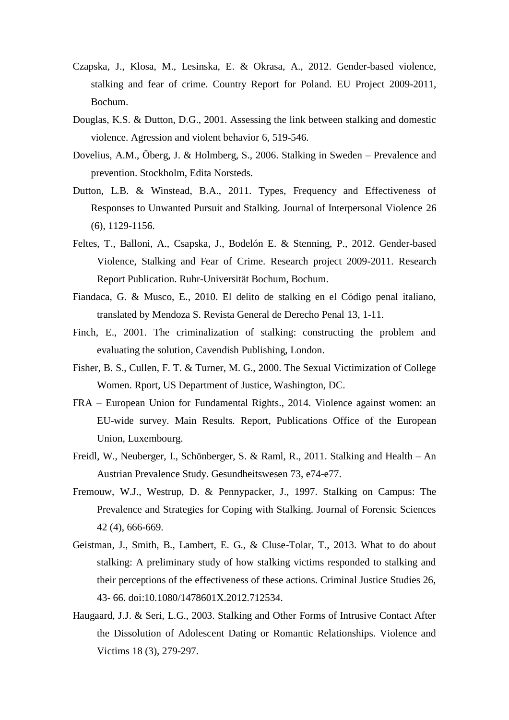- Czapska, J., Klosa, M., Lesinska, E. & Okrasa, A., 2012. Gender-based violence, stalking and fear of crime. Country Report for Poland. EU Project 2009-2011, Bochum.
- Douglas, K.S. & Dutton, D.G., 2001. Assessing the link between stalking and domestic violence. Agression and violent behavior 6, 519-546.
- Dovelius, A.M., Öberg, J. & Holmberg, S., 2006. Stalking in Sweden Prevalence and prevention. Stockholm, Edita Norsteds.
- Dutton, L.B. & Winstead, B.A., 2011. Types, Frequency and Effectiveness of Responses to Unwanted Pursuit and Stalking. Journal of Interpersonal Violence 26 (6), 1129-1156.
- Feltes, T., Balloni, A., Csapska, J., Bodelón E. & Stenning, P., 2012. Gender-based Violence, Stalking and Fear of Crime. Research project 2009-2011. Research Report Publication. Ruhr-Universität Bochum, Bochum.
- Fiandaca, G. & Musco, E., 2010. El delito de stalking en el Código penal italiano, translated by Mendoza S. Revista General de Derecho Penal 13, 1-11.
- Finch, E., 2001. The criminalization of stalking: constructing the problem and evaluating the solution, Cavendish Publishing, London.
- Fisher, B. S., Cullen, F. T. & Turner, M. G., 2000. The Sexual Victimization of College Women. Rport, US Department of Justice, Washington, DC.
- FRA European Union for Fundamental Rights., 2014. Violence against women: an EU-wide survey. Main Results. Report, Publications Office of the European Union, Luxembourg.
- Freidl, W., Neuberger, I., Schönberger, S. & Raml, R., 2011. Stalking and Health An Austrian Prevalence Study. Gesundheitswesen 73, e74-e77.
- Fremouw, W.J., Westrup, D. & Pennypacker, J., 1997. Stalking on Campus: The Prevalence and Strategies for Coping with Stalking. Journal of Forensic Sciences 42 (4), 666-669.
- Geistman, J., Smith, B., Lambert, E. G., & Cluse-Tolar, T., 2013. What to do about stalking: A preliminary study of how stalking victims responded to stalking and their perceptions of the effectiveness of these actions. Criminal Justice Studies 26, 43- 66. doi:10.1080/1478601X.2012.712534.
- Haugaard, J.J. & Seri, L.G., 2003. Stalking and Other Forms of Intrusive Contact After the Dissolution of Adolescent Dating or Romantic Relationships. Violence and Victims 18 (3), 279-297.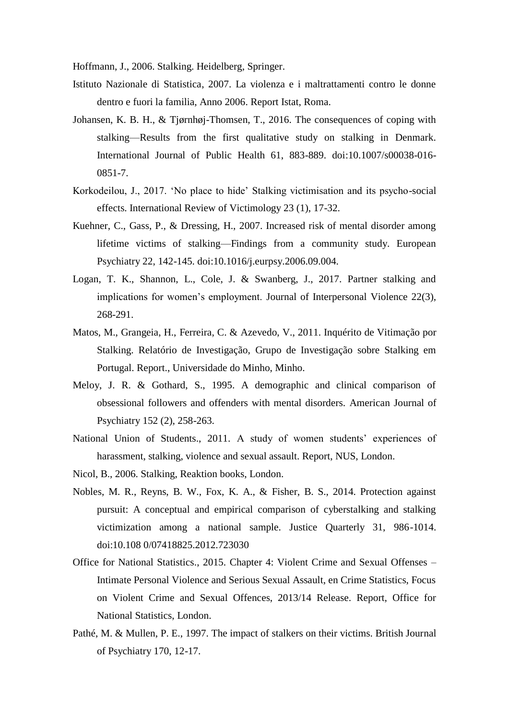Hoffmann, J., 2006. Stalking. Heidelberg, Springer.

- Istituto Nazionale di Statistica, 2007. La violenza e i maltrattamenti contro le donne dentro e fuori la familia, Anno 2006. Report Istat, Roma.
- Johansen, K. B. H., & Tjørnhøj-Thomsen, T., 2016. The consequences of coping with stalking—Results from the first qualitative study on stalking in Denmark. International Journal of Public Health 61, 883-889. doi:10.1007/s00038-016- 0851-7.
- Korkodeilou, J., 2017. 'No place to hide' Stalking victimisation and its psycho-social effects. International Review of Victimology 23 (1), 17-32.
- Kuehner, C., Gass, P., & Dressing, H., 2007. Increased risk of mental disorder among lifetime victims of stalking—Findings from a community study. European Psychiatry 22, 142-145. doi:10.1016/j.eurpsy.2006.09.004.
- Logan, T. K., Shannon, L., Cole, J. & Swanberg, J., 2017. Partner stalking and implications for women's employment. Journal of Interpersonal Violence 22(3), 268-291.
- Matos, M., Grangeia, H., Ferreira, C. & Azevedo, V., 2011. Inquérito de Vitimação por Stalking. Relatório de Investigação, Grupo de Investigação sobre Stalking em Portugal. Report., Universidade do Minho, Minho.
- Meloy, J. R. & Gothard, S., 1995. A demographic and clinical comparison of obsessional followers and offenders with mental disorders. American Journal of Psychiatry 152 (2), 258-263.
- National Union of Students., 2011. A study of women students' experiences of harassment, stalking, violence and sexual assault. Report, NUS, London.
- Nicol, B., 2006. Stalking, Reaktion books, London.
- Nobles, M. R., Reyns, B. W., Fox, K. A., & Fisher, B. S., 2014. Protection against pursuit: A conceptual and empirical comparison of cyberstalking and stalking victimization among a national sample. Justice Quarterly 31, 986-1014. doi:10.108 0/07418825.2012.723030
- Office for National Statistics., 2015. Chapter 4: Violent Crime and Sexual Offenses Intimate Personal Violence and Serious Sexual Assault, en Crime Statistics, Focus on Violent Crime and Sexual Offences, 2013/14 Release. Report, Office for National Statistics, London.
- Pathé, M. & Mullen, P. E., 1997. The impact of stalkers on their victims. British Journal of Psychiatry 170, 12-17.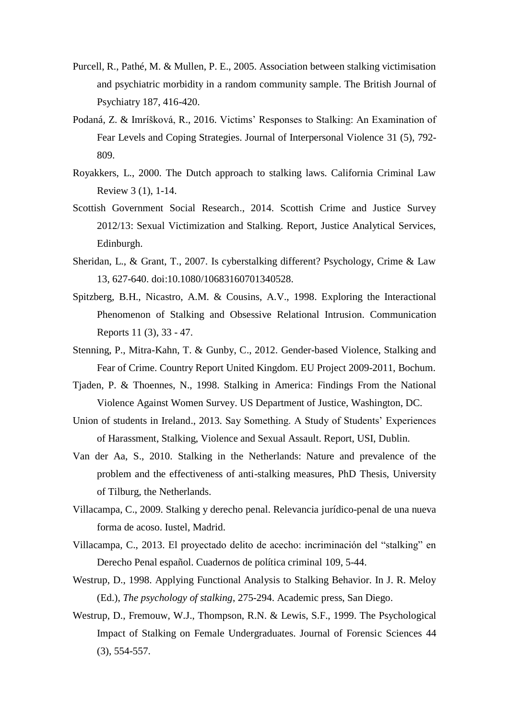- Purcell, R., Pathé, M. & Mullen, P. E., 2005. Association between stalking victimisation and psychiatric morbidity in a random community sample. The British Journal of Psychiatry 187, 416-420.
- Podaná, Z. & Imríšková, R., 2016. Victims' Responses to Stalking: An Examination of Fear Levels and Coping Strategies. Journal of Interpersonal Violence 31 (5), 792- 809.
- Royakkers, L., 2000. The Dutch approach to stalking laws. California Criminal Law Review 3 (1), 1-14.
- Scottish Government Social Research., 2014. Scottish Crime and Justice Survey 2012/13: Sexual Victimization and Stalking. Report, Justice Analytical Services, Edinburgh.
- Sheridan, L., & Grant, T., 2007. Is cyberstalking different? Psychology, Crime & Law 13, 627-640. doi:10.1080/10683160701340528.
- Spitzberg, B.H., Nicastro, A.M. & Cousins, A.V., 1998. Exploring the Interactional Phenomenon of Stalking and Obsessive Relational Intrusion. Communication Reports 11 (3), 33 - 47.
- Stenning, P., Mitra-Kahn, T. & Gunby, C., 2012. Gender-based Violence, Stalking and Fear of Crime. Country Report United Kingdom. EU Project 2009-2011, Bochum.
- Tjaden, P. & Thoennes, N., 1998. Stalking in America: Findings From the National Violence Against Women Survey. US Department of Justice, Washington, DC.
- Union of students in Ireland., 2013. Say Something. A Study of Students' Experiences of Harassment, Stalking, Violence and Sexual Assault. Report, USI, Dublin.
- Van der Aa, S., 2010. Stalking in the Netherlands: Nature and prevalence of the problem and the effectiveness of anti-stalking measures, PhD Thesis, University of Tilburg, the Netherlands.
- Villacampa, C., 2009. Stalking y derecho penal. Relevancia jurídico-penal de una nueva forma de acoso. Iustel, Madrid.
- Villacampa, C., 2013. El proyectado delito de acecho: incriminación del "stalking" en Derecho Penal español. Cuadernos de política criminal 109, 5-44.
- Westrup, D., 1998. Applying Functional Analysis to Stalking Behavior. In J. R. Meloy (Ed.), *The psychology of stalking*, 275-294. Academic press, San Diego.
- Westrup, D., Fremouw, W.J., Thompson, R.N. & Lewis, S.F., 1999. The Psychological Impact of Stalking on Female Undergraduates. Journal of Forensic Sciences 44 (3), 554-557.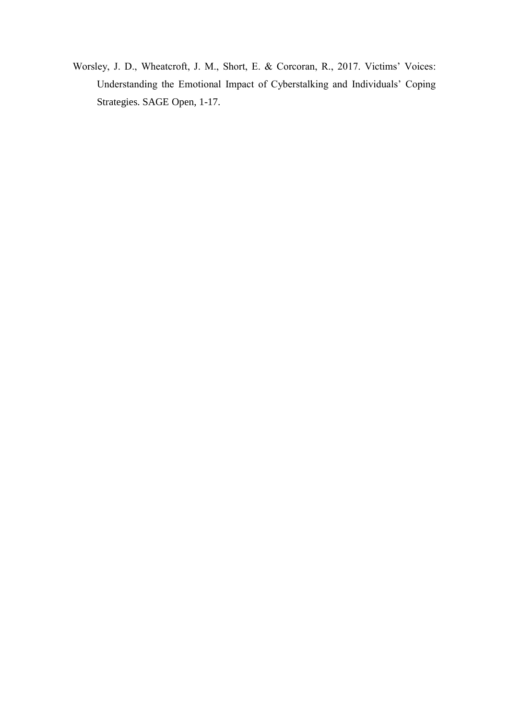Worsley, J. D., Wheatcroft, J. M., Short, E. & Corcoran, R., 2017. Victims' Voices: Understanding the Emotional Impact of Cyberstalking and Individuals' Coping Strategies. SAGE Open, 1-17.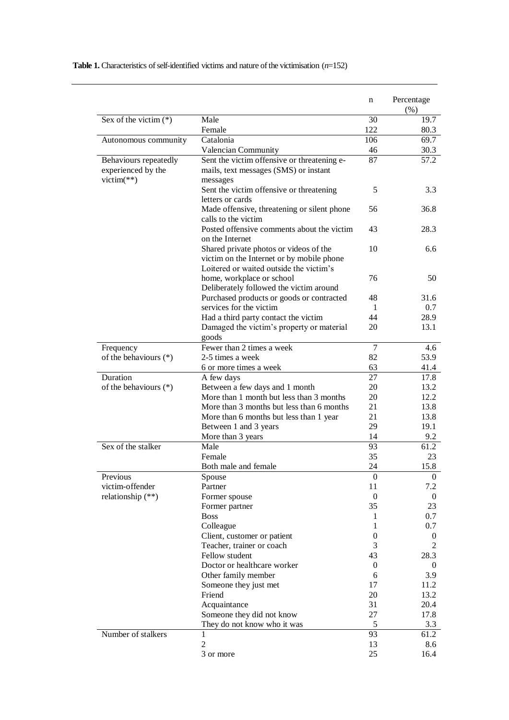**Table 1.** Characteristics of self-identified victims and nature of the victimisation (*n*=152)

|                                                           |                                                                                                                                | n                | Percentage<br>(% ) |
|-----------------------------------------------------------|--------------------------------------------------------------------------------------------------------------------------------|------------------|--------------------|
| Sex of the victim $(*)$                                   | Male                                                                                                                           | 30               | 19.7               |
|                                                           | Female                                                                                                                         | 122              | 80.3               |
| Autonomous community                                      | Catalonia                                                                                                                      | 106              | 69.7               |
|                                                           | Valencian Community                                                                                                            | 46               | 30.3               |
| Behaviours repeatedly<br>experienced by the<br>victim(**) | Sent the victim offensive or threatening e-<br>mails, text messages (SMS) or instant<br>messages                               | 87               | 57.2               |
|                                                           | Sent the victim offensive or threatening<br>letters or cards                                                                   | 5                | 3.3                |
|                                                           | Made offensive, threatening or silent phone<br>calls to the victim                                                             | 56               | 36.8               |
|                                                           | Posted offensive comments about the victim<br>on the Internet                                                                  | 43               | 28.3               |
|                                                           | Shared private photos or videos of the<br>victim on the Internet or by mobile phone<br>Loitered or waited outside the victim's | 10               | 6.6                |
|                                                           | home, workplace or school<br>Deliberately followed the victim around                                                           | 76               | 50                 |
|                                                           | Purchased products or goods or contracted                                                                                      | 48               | 31.6               |
|                                                           | services for the victim                                                                                                        | 1                | 0.7                |
|                                                           | Had a third party contact the victim                                                                                           | 44               | 28.9               |
|                                                           | Damaged the victim's property or material<br>goods                                                                             | 20               | 13.1               |
| Frequency<br>of the behaviours $(*)$                      | Fewer than 2 times a week                                                                                                      | $\overline{7}$   | 4.6                |
|                                                           | 2-5 times a week                                                                                                               | 82               | 53.9               |
|                                                           | 6 or more times a week                                                                                                         | 63               | 41.4               |
| Duration<br>of the behaviours $(*)$                       | A few days                                                                                                                     | 27               | 17.8               |
|                                                           | Between a few days and 1 month                                                                                                 | 20               | 13.2               |
|                                                           | More than 1 month but less than 3 months<br>More than 3 months but less than 6 months                                          | 20<br>21         | 12.2<br>13.8       |
|                                                           | More than 6 months but less than 1 year                                                                                        | 21               | 13.8               |
|                                                           | Between 1 and 3 years                                                                                                          | 29               | 19.1               |
|                                                           | More than 3 years                                                                                                              | 14               | 9.2                |
| Sex of the stalker                                        | Male                                                                                                                           | 93               | 61.2               |
|                                                           | Female                                                                                                                         | 35               | 23                 |
|                                                           | Both male and female                                                                                                           | 24               | 15.8               |
| Previous                                                  | Spouse                                                                                                                         | $\boldsymbol{0}$ | $\boldsymbol{0}$   |
| victim-offender                                           | Partner                                                                                                                        | 11               | 7.2                |
| relationship (**)                                         | Former spouse                                                                                                                  | $\mathbf{0}$     | $\theta$           |
|                                                           | Former partner                                                                                                                 | 35               | 23                 |
|                                                           | <b>Boss</b>                                                                                                                    | 1                | 0.7                |
|                                                           | Colleague                                                                                                                      | 1                | 0.7                |
|                                                           | Client, customer or patient                                                                                                    | $\theta$         | $\boldsymbol{0}$   |
|                                                           | Teacher, trainer or coach                                                                                                      | 3                | 2                  |
|                                                           | Fellow student                                                                                                                 | 43               | 28.3               |
|                                                           | Doctor or healthcare worker                                                                                                    | 0                | 0                  |
|                                                           | Other family member                                                                                                            | 6                | 3.9                |
|                                                           | Someone they just met                                                                                                          | 17               | 11.2               |
|                                                           | Friend                                                                                                                         | 20               | 13.2               |
|                                                           | Acquaintance                                                                                                                   | 31               | 20.4               |
|                                                           | Someone they did not know<br>They do not know who it was                                                                       | 27<br>5          | 17.8<br>3.3        |
| Number of stalkers                                        | 1                                                                                                                              | 93               | 61.2               |
|                                                           | $\overline{2}$                                                                                                                 | 13               | 8.6                |
|                                                           | 3 or more                                                                                                                      | 25               | 16.4               |
|                                                           |                                                                                                                                |                  |                    |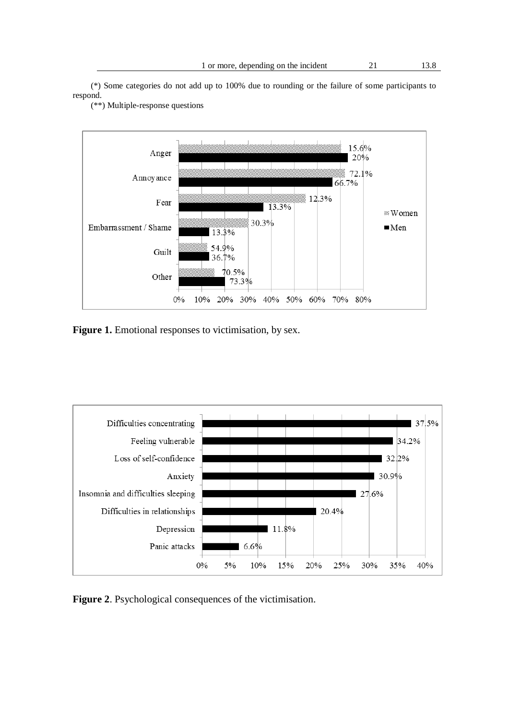(\*) Some categories do not add up to 100% due to rounding or the failure of some participants to respond.

(\*\*) Multiple-response questions



**Figure 1.** Emotional responses to victimisation, by sex.



**Figure 2**. Psychological consequences of the victimisation.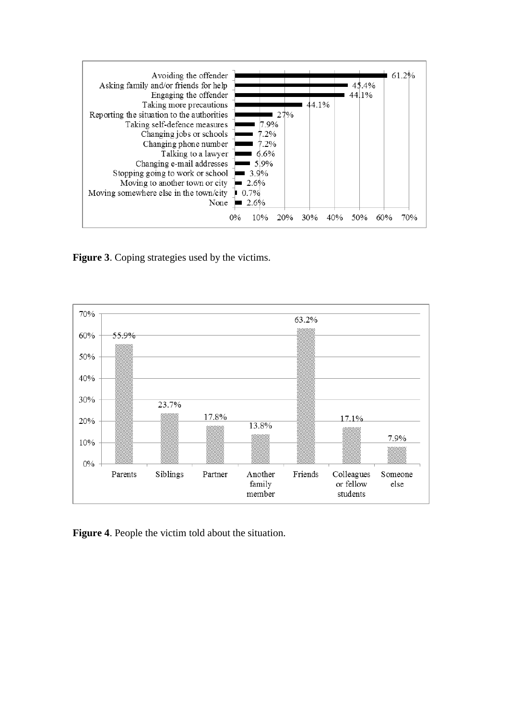

**Figure 3**. Coping strategies used by the victims.



**Figure 4**. People the victim told about the situation.